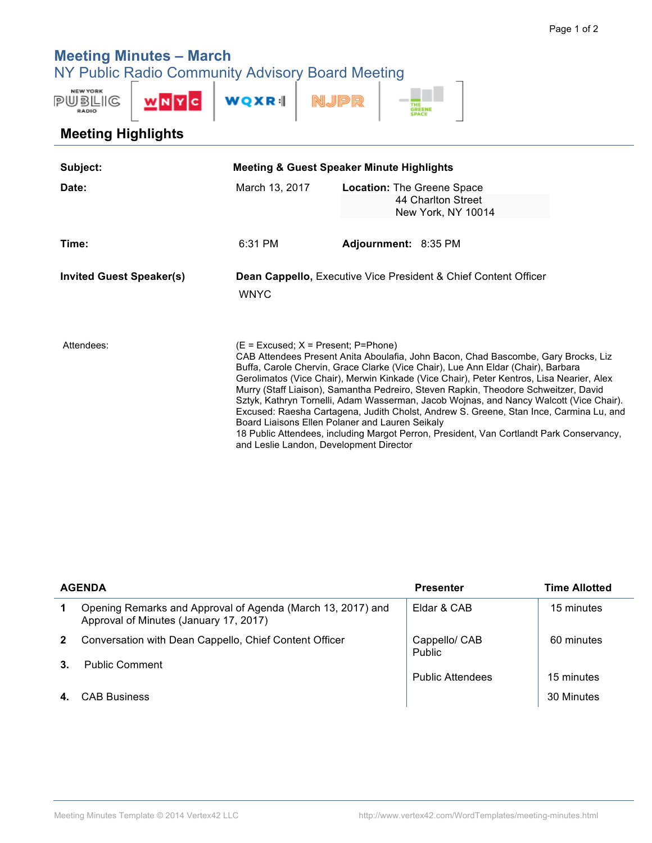## **Meeting Minutes – March**

NY Public Radio Community Advisory Board Meeting



## **Meeting Highlights**

| Subject:                        | <b>Meeting &amp; Guest Speaker Minute Highlights</b>                                                                                                                                                                                                                                                                                                                                                                                                                                                                                                                                                                                                                                                                                                                             |                                                                            |  |
|---------------------------------|----------------------------------------------------------------------------------------------------------------------------------------------------------------------------------------------------------------------------------------------------------------------------------------------------------------------------------------------------------------------------------------------------------------------------------------------------------------------------------------------------------------------------------------------------------------------------------------------------------------------------------------------------------------------------------------------------------------------------------------------------------------------------------|----------------------------------------------------------------------------|--|
| Date:                           | March 13, 2017                                                                                                                                                                                                                                                                                                                                                                                                                                                                                                                                                                                                                                                                                                                                                                   | Location: The Greene Space<br>44 Charlton Street<br>New York, NY 10014     |  |
| Time:                           | 6:31 PM                                                                                                                                                                                                                                                                                                                                                                                                                                                                                                                                                                                                                                                                                                                                                                          | Adjournment: 8:35 PM                                                       |  |
| <b>Invited Guest Speaker(s)</b> | <b>WNYC</b>                                                                                                                                                                                                                                                                                                                                                                                                                                                                                                                                                                                                                                                                                                                                                                      | <b>Dean Cappello, Executive Vice President &amp; Chief Content Officer</b> |  |
| Attendees:                      | $(E = Excused; X = Present; P=Phone)$<br>CAB Attendees Present Anita Aboulafia, John Bacon, Chad Bascombe, Gary Brocks, Liz<br>Buffa, Carole Chervin, Grace Clarke (Vice Chair), Lue Ann Eldar (Chair), Barbara<br>Gerolimatos (Vice Chair), Merwin Kinkade (Vice Chair), Peter Kentros, Lisa Nearier, Alex<br>Murry (Staff Liaison), Samantha Pedreiro, Steven Rapkin, Theodore Schweitzer, David<br>Sztyk, Kathryn Tornelli, Adam Wasserman, Jacob Wojnas, and Nancy Walcott (Vice Chair).<br>Excused: Raesha Cartagena, Judith Cholst, Andrew S. Greene, Stan Ince, Carmina Lu, and<br>Board Liaisons Ellen Polaner and Lauren Seikaly<br>18 Public Attendees, including Margot Perron, President, Van Cortlandt Park Conservancy,<br>and Leslie Landon, Development Director |                                                                            |  |

| <b>AGENDA</b> |                                                                                                       | <b>Presenter</b>               | <b>Time Allotted</b> |
|---------------|-------------------------------------------------------------------------------------------------------|--------------------------------|----------------------|
| $\mathbf 1$   | Opening Remarks and Approval of Agenda (March 13, 2017) and<br>Approval of Minutes (January 17, 2017) | Eldar & CAB                    | 15 minutes           |
| $\mathbf{2}$  | Conversation with Dean Cappello, Chief Content Officer                                                | Cappello/ CAB<br><b>Public</b> | 60 minutes           |
| $3_{-}$       | <b>Public Comment</b>                                                                                 | <b>Public Attendees</b>        | 15 minutes           |
|               | <b>CAB Business</b>                                                                                   |                                | 30 Minutes           |